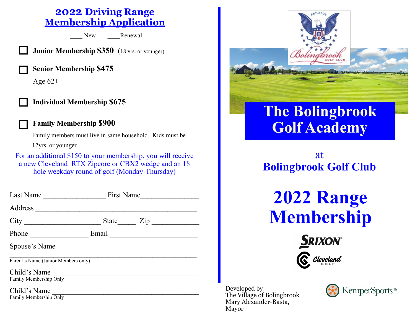## **2022 Driving Range Membership Application**

New Renewal

**Junior Membership \$350** (18 yrs. or younger)

**Senior Membership \$475**

Age  $62+$ 





**Family Membership \$900**

 Family members must live in same household. Kids must be 17yrs. or younger.

For an additional \$150 to your membership, you will receive a new Cleveland RTX Zipcore or CBX2 wedge and an 18 hole weekday round of golf (Monday-Thursday)

| Last Name                              | <b>First Name</b> |     |
|----------------------------------------|-------------------|-----|
| Address                                |                   |     |
| City                                   | State             | Zip |
| Phone                                  | Email             |     |
| Spouse's Name                          |                   |     |
| Parent's Name (Junior Members only)    |                   |     |
| Child's Name<br>Family Membership Only |                   |     |

Child's Name Family Membership Only



Developed by The Village of Bolingbrook Mary Alexander-Basta, Mayor